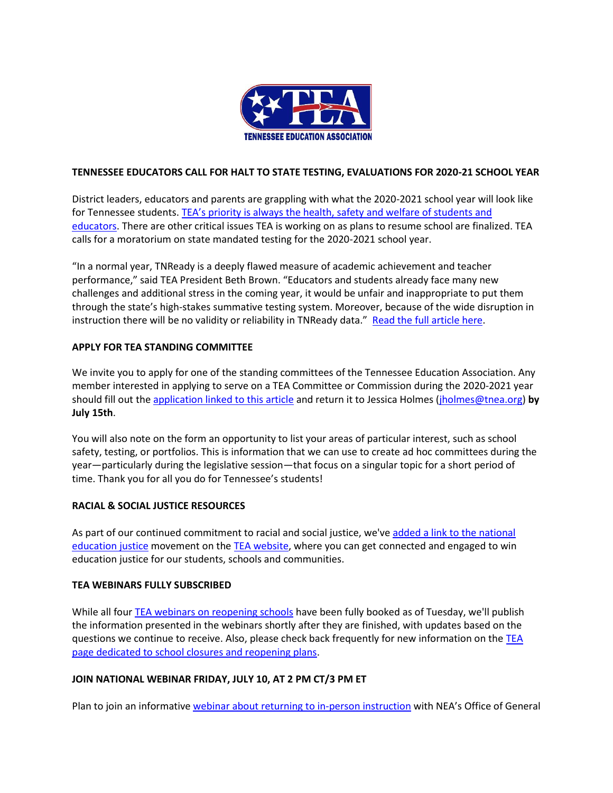

### **TENNESSEE EDUCATORS CALL FOR HALT TO STATE TESTING, EVALUATIONS FOR 2020-21 SCHOOL YEAR**

District leaders, educators and parents are grappling with what the 2020-2021 school year will look like for Tennessee students. TEA's priority is always the health, safety and welfare of students and [educators.](https://click.email.nea.org/?qs=501cf28621e0dcaba03ee9e299dabf265ba65f10e05c64de8c500b666c19d36ed94f1610431ccaf4ddf2db942c043d158f1ccea2396ddcdc) There are other critical issues TEA is working on as plans to resume school are finalized. TEA calls for a moratorium on state mandated testing for the 2020-2021 school year.

"In a normal year, TNReady is a deeply flawed measure of academic achievement and teacher performance," said TEA President Beth Brown. "Educators and students already face many new challenges and additional stress in the coming year, it would be unfair and inappropriate to put them through the state's high-stakes summative testing system. Moreover, because of the wide disruption in instruction there will be no validity or reliability in TNReady data." [Read the full article here.](https://click.email.nea.org/?qs=501cf28621e0dcabfeb62405e175cb20a7eecf73e983a04c10ea381872ecbf3b41f96f0fc9d33e2e1c20af9d59672f9ee81b2d476d4a6758)

#### **APPLY FOR TEA STANDING COMMITTEE**

We invite you to apply for one of the standing committees of the Tennessee Education Association. Any member interested in applying to serve on a TEA Committee or Commission during the 2020-2021 year should fill out the [application linked to this article](https://click.email.nea.org/?qs=501cf28621e0dcab7adade7602d9d2b247a6b1aa4c2052a1e436421528f8741c8b12e71ad2786b117510a64583e1d5e109c5773713898cc2) and return it to Jessica Holmes [\(jholmes@tnea.org\)](mailto:jholmes@tnea.org) **by July 15th**.

You will also note on the form an opportunity to list your areas of particular interest, such as school safety, testing, or portfolios. This is information that we can use to create ad hoc committees during the year—particularly during the legislative session—that focus on a singular topic for a short period of time. Thank you for all you do for Tennessee's students!

# **RACIAL & SOCIAL JUSTICE RESOURCES**

As part of our continued commitment to racial and social justice, we've added a link to the national [education](https://click.email.nea.org/?qs=501cf28621e0dcabaa029c2e748f99aeb3f16dc5812b953556954b497f13b0c67eb69dc43de659d20f939e25de7adf401dff6de9cc837c29) justice movement on th[e TEA website,](https://click.email.nea.org/?qs=501cf28621e0dcab966c199b0c4cafe090cf6f0f55a7f6d6dc92a61987af125e8bbbc9a6735035410d608b8b700f1e759f4fd5a32c448521) where you can get connected and engaged to win education justice for our students, schools and communities.

#### **TEA WEBINARS FULLY SUBSCRIBED**

While all fou[r TEA webinars on reopening schools](https://click.email.nea.org/?qs=501cf28621e0dcab788b4e1da31348cfa6c5df37ba35057d485a226c7885ea27ce2d422927f4e6cedc5dbfced744b3460f80b69e2ec6bfc0) have been fully booked as of Tuesday, we'll publish the information presented in the webinars shortly after they are finished, with updates based on the questions we continue to receive. Also, please check back frequently for new information on the [TEA](https://click.email.nea.org/?qs=501cf28621e0dcab2620183ebec4fe57e92e24c3e6b1f03c2cd6199a12dc22b4466cb71eaa1c168d01f7de89e37156e10bcddbea341871d9)  [page dedicated to school closures and reopening plans.](https://click.email.nea.org/?qs=501cf28621e0dcab2620183ebec4fe57e92e24c3e6b1f03c2cd6199a12dc22b4466cb71eaa1c168d01f7de89e37156e10bcddbea341871d9)

# **JOIN NATIONAL WEBINAR FRIDAY, JULY 10, AT 2 PM CT/3 PM ET**

Plan to join an informative [webinar about returning to in-person instruction](https://click.email.nea.org/?qs=501cf28621e0dcabb33761eaa5f6a6198831764dd6cf4dd286b2f58afa7397dfcc2c334a20dcc24d22933b3f367ccbb067092ccb8d59072a) with NEA's Office of General